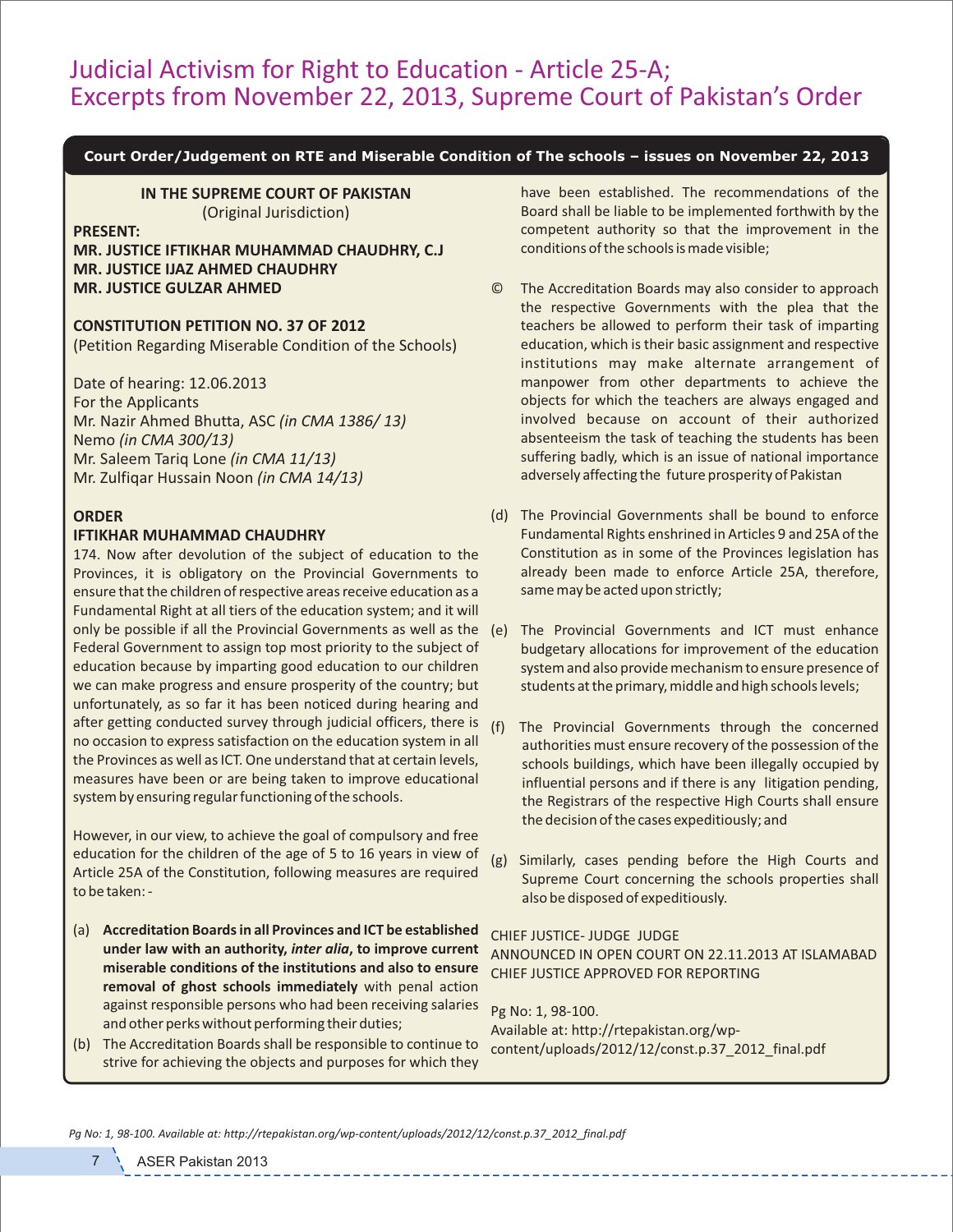## Judicial Activism for Right to Education ‐ Article 25‐A; Excerpts from November 22, 2013, Supreme Court of Pakistan's Order

#### **Court Order/Judgement on RTE and Miserable Condition of The schools – issues on November 22, 2013**

**IN THE SUPREME COURT OF PAKISTAN** (Original Jurisdiction)

#### **PRESENT:**

**MR. JUSTICE IFTIKHAR MUHAMMAD CHAUDHRY, C.J MR. JUSTICE IJAZ AHMED CHAUDHRY MR. JUSTICE GULZAR AHMED**

## **CONSTITUTION PETITION NO. 37 OF 2012**

(Petition Regarding Miserable Condition of the Schools)

Date of hearing: 12.06.2013 For the Applicants Mr. Nazir Ahmed Bhutta, ASC *(in CMA 1386/ 13)* Nemo *(in CMA 300/13)* Mr. Saleem Tariq Lone *(in CMA 11/13)* Mr. Zulfiqar Hussain Noon *(in CMA 14/13)*

## **ORDER**

#### **IFTIKHAR MUHAMMAD CHAUDHRY**

174. Now after devolution of the subject of education to the Provinces, it is obligatory on the Provincial Governments to ensure that the children of respective areas receive education as a Fundamental Right at all tiers of the education system; and it will only be possible if all the Provincial Governments as well as the Federal Government to assign top most priority to the subject of education because by imparting good education to our children we can make progress and ensure prosperity of the country; but unfortunately, as so far it has been noticed during hearing and after getting conducted survey through judicial officers, there is no occasion to express satisfaction on the education system in all the Provinces as well as ICT. One understand that at certain levels, measures have been or are being taken to improve educational system by ensuring regular functioning of the schools.

However, in our view, to achieve the goal of compulsory and free education for the children of the age of 5 to 16 years in view of Article 25A of the Constitution, following measures are required to be taken: ‐

- (a) **Accreditation Boards in all Provinces and ICT be established under law with an authority,** *inter alia***, to improve current miserable conditions of the institutions and also to ensure removal of ghost schools immediately** with penal action against responsible persons who had been receiving salaries and other perks without performing their duties;
- (b) The Accreditation Boards shall be responsible to continue to strive for achieving the objects and purposes for which they

have been established. The recommendations of the Board shall be liable to be implemented forthwith by the competent authority so that the improvement in the conditions of the schools is made visible;

- The Accreditation Boards may also consider to approach the respective Governments with the plea that the teachers be allowed to perform their task of imparting education, which is their basic assignment and respective institutions may make alternate arrangement of manpower from other departments to achieve the objects for which the teachers are always engaged and involved because on account of their authorized absenteeism the task of teaching the students has been suffering badly, which is an issue of national importance adversely affecting the future prosperity of Pakistan
- (d) The Provincial Governments shall be bound to enforce Fundamental Rights enshrined in Articles 9 and 25A of the Constitution as in some of the Provinces legislation has already been made to enforce Article 25A, therefore, same may be acted upon strictly;
- The Provincial Governments and ICT must enhance budgetary allocations for improvement of the education system and also provide mechanism to ensure presence of students at the primary, middle and high schools levels;
- (f) The Provincial Governments through the concerned authorities must ensure recovery of the possession of the schools buildings, which have been illegally occupied by influential persons and if there is any litigation pending, the Registrars of the respective High Courts shall ensure the decision of the cases expeditiously; and
- (g) Similarly, cases pending before the High Courts and Supreme Court concerning the schools properties shall also be disposed of expeditiously.

#### CHIEF JUSTICE‐ JUDGE JUDGE

ANNOUNCED IN OPEN COURT ON 22.11.2013 AT ISLAMABAD CHIEF JUSTICE APPROVED FOR REPORTING

Pg No: 1, 98‐100. Available at: http://rtepakistan.org/wp‐ content/uploads/2012/12/const.p.37\_2012\_final.pdf

*Pg No: 1, 98‐100. Available at: http://rtepakistan.org/wp‐content/uploads/2012/12/const.p.37\_2012\_final.pdf*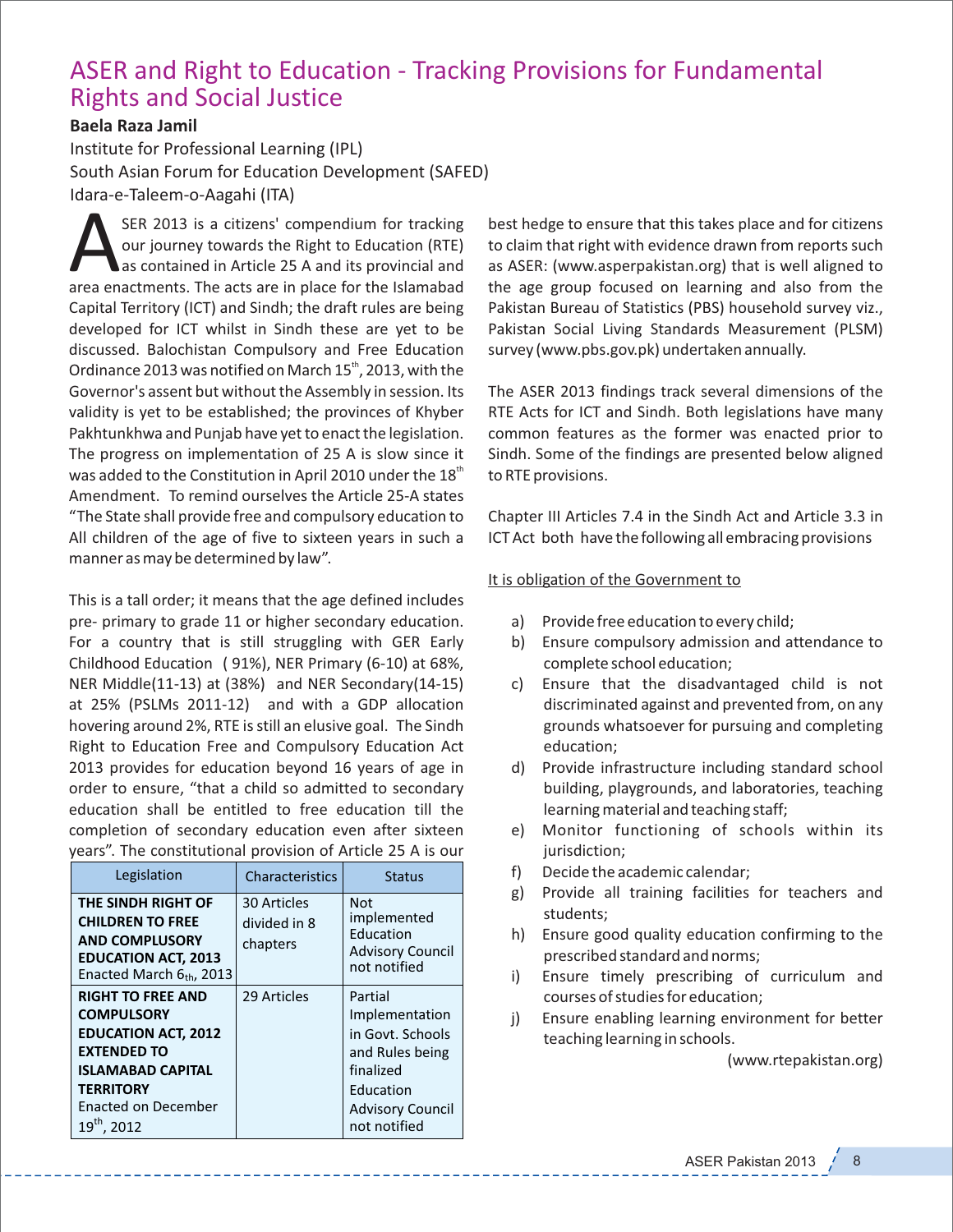# ASER and Right to Education ‐ Tracking Provisions for Fundamental Rights and Social Justice

## **Baela Raza Jamil**

Institute for Professional Learning (IPL) South Asian Forum for Education Development (SAFED) Idara‐e‐Taleem‐o‐Aagahi (ITA)

SER 2013 is a citizens' compendium for tracking<br>our journey towards the Right to Education (RTE)<br>as contained in Article 25 A and its provincial and<br>area enactments. The acts are in place for the Islamabad SER 2013 is a citizens' compendium for tracking our journey towards the Right to Education (RTE) as contained in Article 25 A and its provincial and Capital Territory (ICT) and Sindh; the draft rules are being developed for ICT whilst in Sindh these are yet to be discussed. Balochistan Compulsory and Free Education Ordinance 2013 was notified on March  $15<sup>th</sup>$ , 2013, with the Governor's assent but without the Assembly in session. Its validity is yet to be established; the provinces of Khyber Pakhtunkhwa and Punjab have yet to enact the legislation. The progress on implementation of 25 A is slow since it was added to the Constitution in April 2010 under the  $18<sup>m</sup>$ Amendment. To remind ourselves the Article 25‐A states "The State shall provide free and compulsory education to All children of the age of five to sixteen years in such a manner as may be determined by law".

This is a tall order; it means that the age defined includes pre‐ primary to grade 11 or higher secondary education. For a country that is still struggling with GER Early Childhood Education ( 91%), NER Primary (6‐10) at 68%, NER Middle(11‐13) at (38%) and NER Secondary(14‐15) at 25% (PSLMs 2011‐12) and with a GDP allocation hovering around 2%, RTE is still an elusive goal. The Sindh Right to Education Free and Compulsory Education Act 2013 provides for education beyond 16 years of age in order to ensure, "that a child so admitted to secondary education shall be entitled to free education till the completion of secondary education even after sixteen years". The constitutional provision of Article 25 A is our

| Legislation                                                                                                                                                                                         | Characteristics                         | Status                                                                                                                                |
|-----------------------------------------------------------------------------------------------------------------------------------------------------------------------------------------------------|-----------------------------------------|---------------------------------------------------------------------------------------------------------------------------------------|
| THE SINDH RIGHT OF<br><b>CHILDREN TO FREE</b><br><b>AND COMPLUSORY</b><br><b>EDUCATION ACT, 2013</b><br>Enacted March $6th$ , 2013                                                                  | 30 Articles<br>divided in 8<br>chapters | Not<br>implemented<br>Education<br><b>Advisory Council</b><br>not notified                                                            |
| <b>RIGHT TO FREE AND</b><br><b>COMPULSORY</b><br><b>EDUCATION ACT, 2012</b><br><b>EXTENDED TO</b><br><b>ISLAMABAD CAPITAL</b><br><b>TERRITORY</b><br><b>Enacted on December</b><br>$19^{th}$ , 2012 | 29 Articles                             | Partial<br>Implementation<br>in Govt. Schools<br>and Rules being<br>finalized<br>Education<br><b>Advisory Council</b><br>not notified |

best hedge to ensure that this takes place and for citizens to claim that right with evidence drawn from reports such as ASER: (www.asperpakistan.org) that is well aligned to the age group focused on learning and also from the Pakistan Bureau of Statistics (PBS) household survey viz., Pakistan Social Living Standards Measurement (PLSM) survey (www.pbs.gov.pk) undertaken annually.

The ASER 2013 findings track several dimensions of the RTE Acts for ICT and Sindh. Both legislations have many common features as the former was enacted prior to Sindh. Some of the findings are presented below aligned to RTE provisions.

Chapter III Articles 7.4 in the Sindh Act and Article 3.3 in ICT Act both have the following all embracing provisions

### It is obligation of the Government to

- a) Provide free education to every child;
- b) Ensure compulsory admission and attendance to complete school education;
- c) Ensure that the disadvantaged child is not discriminated against and prevented from, on any grounds whatsoever for pursuing and completing education;
- d) Provide infrastructure including standard school building, playgrounds, and laboratories, teaching learning material and teaching staff;
- e) Monitor functioning of schools within its jurisdiction;
- f) Decide the academic calendar;
- g) Provide all training facilities for teachers and students;
- h) Ensure good quality education confirming to the prescribed standard and norms;
- i) Ensure timely prescribing of curriculum and courses of studies for education;
- j) Ensure enabling learning environment for better teaching learning in schools.

(www.rtepakistan.org)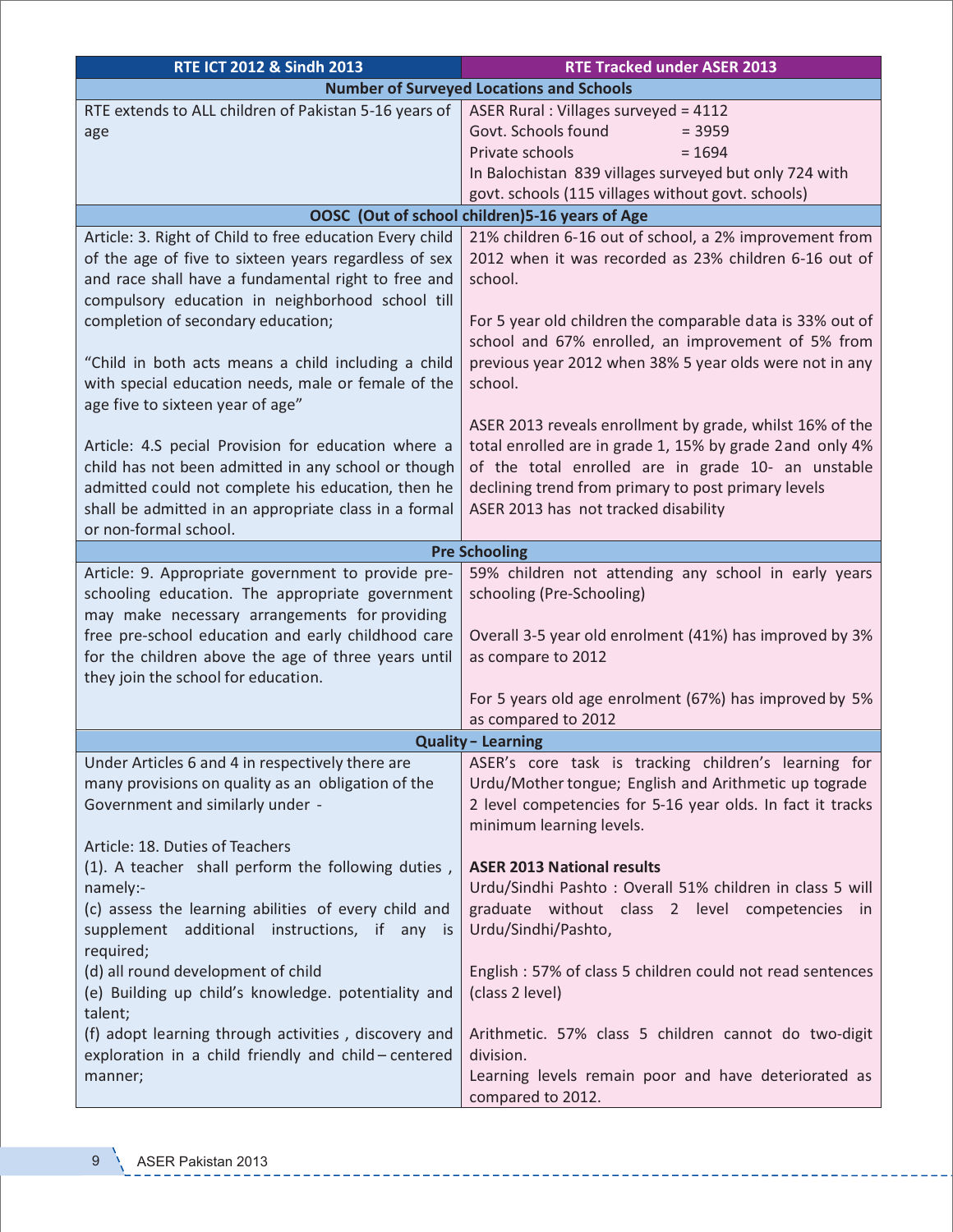| RTE ICT 2012 & Sindh 2013                                                                                                                                                                                                                                                                                                                                                        | <b>RTE Tracked under ASER 2013</b>                                                                                                                                                                                                                                                                                  |  |  |
|----------------------------------------------------------------------------------------------------------------------------------------------------------------------------------------------------------------------------------------------------------------------------------------------------------------------------------------------------------------------------------|---------------------------------------------------------------------------------------------------------------------------------------------------------------------------------------------------------------------------------------------------------------------------------------------------------------------|--|--|
| <b>Number of Surveyed Locations and Schools</b>                                                                                                                                                                                                                                                                                                                                  |                                                                                                                                                                                                                                                                                                                     |  |  |
| RTE extends to ALL children of Pakistan 5-16 years of<br>age                                                                                                                                                                                                                                                                                                                     | ASER Rural: Villages surveyed = 4112<br>Govt. Schools found<br>$= 3959$<br>Private schools<br>$= 1694$<br>In Balochistan 839 villages surveyed but only 724 with<br>govt. schools (115 villages without govt. schools)                                                                                              |  |  |
| OOSC (Out of school children) 5-16 years of Age                                                                                                                                                                                                                                                                                                                                  |                                                                                                                                                                                                                                                                                                                     |  |  |
| Article: 3. Right of Child to free education Every child<br>of the age of five to sixteen years regardless of sex<br>and race shall have a fundamental right to free and<br>compulsory education in neighborhood school till<br>completion of secondary education;<br>"Child in both acts means a child including a child<br>with special education needs, male or female of the | 21% children 6-16 out of school, a 2% improvement from<br>2012 when it was recorded as 23% children 6-16 out of<br>school.<br>For 5 year old children the comparable data is 33% out of<br>school and 67% enrolled, an improvement of 5% from<br>previous year 2012 when 38% 5 year olds were not in any<br>school. |  |  |
| age five to sixteen year of age"<br>Article: 4.S pecial Provision for education where a<br>child has not been admitted in any school or though<br>admitted could not complete his education, then he<br>shall be admitted in an appropriate class in a formal<br>or non-formal school.                                                                                           | ASER 2013 reveals enrollment by grade, whilst 16% of the<br>total enrolled are in grade 1, 15% by grade 2 and only 4%<br>of the total enrolled are in grade 10- an unstable<br>declining trend from primary to post primary levels<br>ASER 2013 has not tracked disability                                          |  |  |
| <b>Pre Schooling</b>                                                                                                                                                                                                                                                                                                                                                             |                                                                                                                                                                                                                                                                                                                     |  |  |
| Article: 9. Appropriate government to provide pre-<br>schooling education. The appropriate government<br>may make necessary arrangements for providing<br>free pre-school education and early childhood care<br>for the children above the age of three years until<br>they join the school for education.                                                                       | 59% children not attending any school in early years<br>schooling (Pre-Schooling)<br>Overall 3-5 year old enrolment (41%) has improved by 3%<br>as compare to 2012<br>For 5 years old age enrolment (67%) has improved by 5%<br>as compared to 2012                                                                 |  |  |
| <b>Quality - Learning</b>                                                                                                                                                                                                                                                                                                                                                        |                                                                                                                                                                                                                                                                                                                     |  |  |
| Under Articles 6 and 4 in respectively there are<br>many provisions on quality as an obligation of the<br>Government and similarly under -<br>Article: 18. Duties of Teachers                                                                                                                                                                                                    | ASER's core task is tracking children's learning for<br>Urdu/Mother tongue; English and Arithmetic up tograde<br>2 level competencies for 5-16 year olds. In fact it tracks<br>minimum learning levels.                                                                                                             |  |  |
| (1). A teacher shall perform the following duties,<br>namely:-<br>(c) assess the learning abilities of every child and<br>supplement additional instructions, if any is<br>required;                                                                                                                                                                                             | <b>ASER 2013 National results</b><br>Urdu/Sindhi Pashto: Overall 51% children in class 5 will<br>graduate without class 2 level competencies in<br>Urdu/Sindhi/Pashto,                                                                                                                                              |  |  |
| (d) all round development of child<br>(e) Building up child's knowledge. potentiality and<br>talent;                                                                                                                                                                                                                                                                             | English: 57% of class 5 children could not read sentences<br>(class 2 level)                                                                                                                                                                                                                                        |  |  |
| (f) adopt learning through activities, discovery and<br>exploration in a child friendly and child - centered<br>manner;                                                                                                                                                                                                                                                          | Arithmetic. 57% class 5 children cannot do two-digit<br>division.<br>Learning levels remain poor and have deteriorated as<br>compared to 2012.                                                                                                                                                                      |  |  |

 $\frac{1}{2} \frac{1}{2} \frac{1}{2} \frac{1}{2} \frac{1}{2} \frac{1}{2} \frac{1}{2} \frac{1}{2} \frac{1}{2} \frac{1}{2} \frac{1}{2} \frac{1}{2} \frac{1}{2} \frac{1}{2} \frac{1}{2} \frac{1}{2} \frac{1}{2} \frac{1}{2} \frac{1}{2} \frac{1}{2} \frac{1}{2} \frac{1}{2} \frac{1}{2} \frac{1}{2} \frac{1}{2} \frac{1}{2} \frac{1}{2} \frac{1}{2} \frac{1}{2} \frac{1}{2} \frac{1}{2} \frac{$ 

-------

 $\overline{\phantom{0}}$